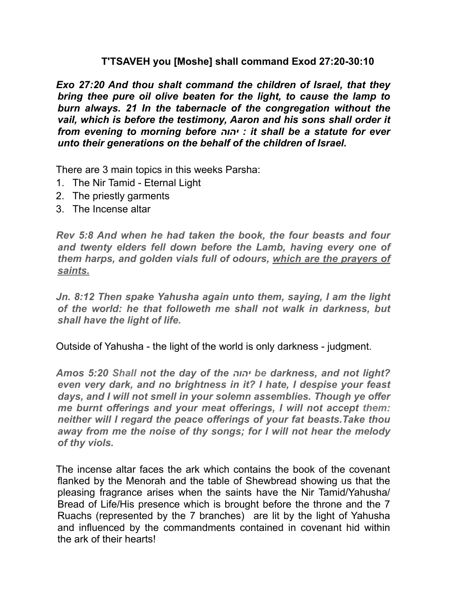### **T'TSAVEH you [Moshe] shall command Exod 27:20-30:10**

*Exo 27:20 And thou shalt command the children of Israel, that they bring thee pure oil olive beaten for the light, to cause the lamp to burn always. 21 In the tabernacle of the congregation without the vail, which is before the testimony, Aaron and his sons shall order it from evening to morning before יהוה : it shall be a statute for ever unto their generations on the behalf of the children of Israel.* 

There are 3 main topics in this weeks Parsha:

- 1. The Nir Tamid Eternal Light
- 2. The priestly garments
- 3. The Incense altar

*Rev 5:8 And when he had taken the book, the four beasts and four and twenty elders fell down before the Lamb, having every one of them harps, and golden vials full of odours, which are the prayers of saints.* 

*Jn. 8:12 Then spake Yahusha again unto them, saying, I am the light of the world: he that followeth me shall not walk in darkness, but shall have the light of life.* 

Outside of Yahusha - the light of the world is only darkness - judgment.

*Amos 5:20 Shall not the day of the יהוה be darkness, and not light? even very dark, and no brightness in it? I hate, I despise your feast days, and I will not smell in your solemn assemblies. Though ye offer me burnt offerings and your meat offerings, I will not accept them: neither will I regard the peace offerings of your fat beasts.Take thou away from me the noise of thy songs; for I will not hear the melody of thy viols.* 

The incense altar faces the ark which contains the book of the covenant flanked by the Menorah and the table of Shewbread showing us that the pleasing fragrance arises when the saints have the Nir Tamid/Yahusha/ Bread of Life/His presence which is brought before the throne and the 7 Ruachs (represented by the 7 branches) are lit by the light of Yahusha and influenced by the commandments contained in covenant hid within the ark of their hearts!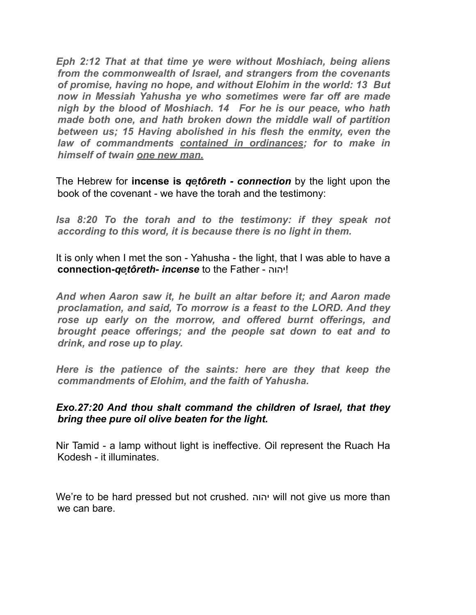*Eph 2:12 That at that time ye were without Moshiach, being aliens from the commonwealth of Israel, and strangers from the covenants of promise, having no hope, and without Elohim in the world: 13 But now in Messiah Yahusha ye who sometimes were far off are made nigh by the blood of Moshiach. 14 For he is our peace, who hath made both one, and hath broken down the middle wall of partition between us; 15 Having abolished in his flesh the enmity, even the law of commandments contained in ordinances; for to make in himself of twain one new man.* 

The Hebrew for **incense is** *qeṭôreth - connection* by the light upon the book of the covenant - we have the torah and the testimony:

*Isa 8:20 To the torah and to the testimony: if they speak not according to this word, it is because there is no light in them.* 

It is only when I met the son - Yahusha - the light, that I was able to have a **connection-***qeṭôreth- incense* to the Father - יהוה!

*And when Aaron saw it, he built an altar before it; and Aaron made proclamation, and said, To morrow is a feast to the LORD. And they rose up early on the morrow, and offered burnt offerings, and brought peace offerings; and the people sat down to eat and to drink, and rose up to play.* 

*Here is the patience of the saints: here are they that keep the commandments of Elohim, and the faith of Yahusha.* 

### *Exo.27:20 And thou shalt command the children of Israel, that they bring thee pure oil olive beaten for the light.*

Nir Tamid - a lamp without light is ineffective. Oil represent the Ruach Ha Kodesh - it illuminates.

We're to be hard pressed but not crushed. יהוה will not give us more than we can bare.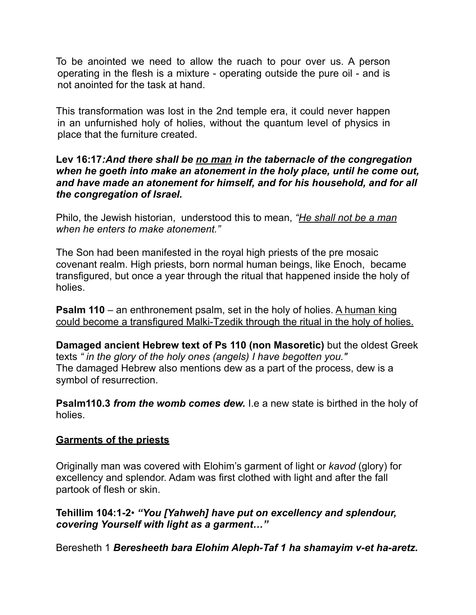To be anointed we need to allow the ruach to pour over us. A person operating in the flesh is a mixture - operating outside the pure oil - and is not anointed for the task at hand.

This transformation was lost in the 2nd temple era, it could never happen in an unfurnished holy of holies, without the quantum level of physics in place that the furniture created.

#### **Lev 16:17***:And there shall be no man in the tabernacle of the congregation when he goeth into make an atonement in the holy place, until he come out, and have made an atonement for himself, and for his household, and for all the congregation of Israel.*

Philo, the Jewish historian, understood this to mean, *"He shall not be a man when he enters to make atonement."* 

The Son had been manifested in the royal high priests of the pre mosaic covenant realm. High priests, born normal human beings, like Enoch, became transfigured, but once a year through the ritual that happened inside the holy of holies.

**Psalm 110** – an enthronement psalm, set in the holy of holies. A human king could become a transfigured Malki-Tzedik through the ritual in the holy of holies.

**Damaged ancient Hebrew text of Ps 110 (non Masoretic)** but the oldest Greek texts *" in the glory of the holy ones (angels) I have begotten you."*  The damaged Hebrew also mentions dew as a part of the process, dew is a symbol of resurrection.

**Psalm110.3** *from the womb comes dew.* I.e a new state is birthed in the holy of holies.

# **Garments of the priests**

Originally man was covered with Elohim's garment of light or *kavod* (glory) for excellency and splendor. Adam was first clothed with light and after the fall partook of flesh or skin.

**Tehillim 104:1-2**• *"You [Yahweh] have put on excellency and splendour, covering Yourself with light as a garment…"* 

Beresheth 1 *Beresheeth bara Elohim Aleph-Taf 1 ha shamayim v-et ha-aretz.*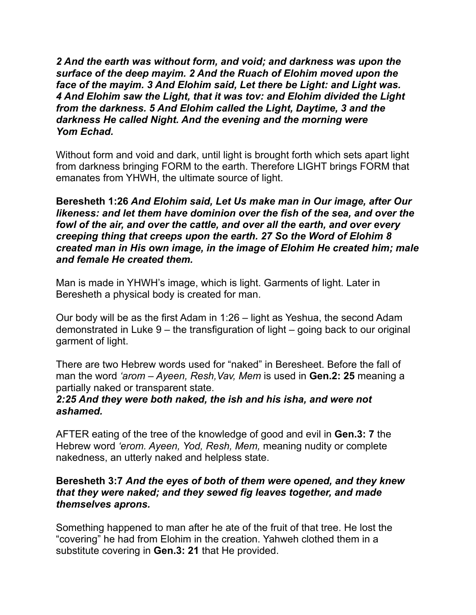*2 And the earth was without form, and void; and darkness was upon the surface of the deep mayim. 2 And the Ruach of Elohim moved upon the face of the mayim. 3 And Elohim said, Let there be Light: and Light was. 4 And Elohim saw the Light, that it was tov: and Elohim divided the Light from the darkness. 5 And Elohim called the Light, Daytime, 3 and the darkness He called Night. And the evening and the morning were Yom Echad.* 

Without form and void and dark, until light is brought forth which sets apart light from darkness bringing FORM to the earth. Therefore LIGHT brings FORM that emanates from YHWH, the ultimate source of light.

**Beresheth 1:26** *And Elohim said, Let Us make man in Our image, after Our likeness: and let them have dominion over the fish of the sea, and over the fowl of the air, and over the cattle, and over all the earth, and over every creeping thing that creeps upon the earth. 27 So the Word of Elohim 8 created man in His own image, in the image of Elohim He created him; male and female He created them.* 

Man is made in YHWH's image, which is light. Garments of light. Later in Beresheth a physical body is created for man.

Our body will be as the first Adam in 1:26 – light as Yeshua, the second Adam demonstrated in Luke 9 – the transfiguration of light – going back to our original garment of light.

There are two Hebrew words used for "naked" in Beresheet. Before the fall of man the word *'arom – Ayeen, Resh,Vav, Mem* is used in **Gen.2: 25** meaning a partially naked or transparent state.

#### *2:25 And they were both naked, the ish and his isha, and were not ashamed.*

AFTER eating of the tree of the knowledge of good and evil in **Gen.3: 7** the Hebrew word *'erom. Ayeen, Yod, Resh, Mem,* meaning nudity or complete nakedness, an utterly naked and helpless state.

### **Beresheth 3:7** *And the eyes of both of them were opened, and they knew that they were naked; and they sewed fig leaves together, and made themselves aprons.*

Something happened to man after he ate of the fruit of that tree. He lost the "covering" he had from Elohim in the creation. Yahweh clothed them in a substitute covering in **Gen.3: 21** that He provided.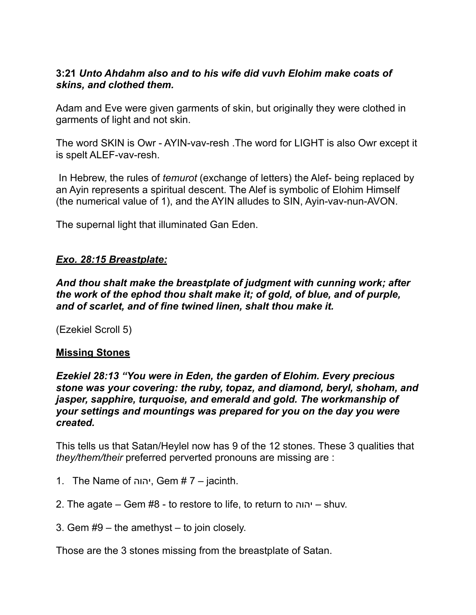# **3:21** *Unto Ahdahm also and to his wife did vuvh Elohim make coats of skins, and clothed them.*

Adam and Eve were given garments of skin, but originally they were clothed in garments of light and not skin.

The word SKIN is Owr - AYIN-vav-resh .The word for LIGHT is also Owr except it is spelt ALEF-vav-resh.

 In Hebrew, the rules of *temurot* (exchange of letters) the Alef- being replaced by an Ayin represents a spiritual descent. The Alef is symbolic of Elohim Himself (the numerical value of 1), and the AYIN alludes to SIN, Ayin-vav-nun-AVON.

The supernal light that illuminated Gan Eden.

# *Exo. 28:15 Breastplate:*

*And thou shalt make the breastplate of judgment with cunning work; after the work of the ephod thou shalt make it; of gold, of blue, and of purple, and of scarlet, and of fine twined linen, shalt thou make it.* 

(Ezekiel Scroll 5)

# **Missing Stones**

*Ezekiel 28:13 "You were in Eden, the garden of Elohim. Every precious stone was your covering: the ruby, topaz, and diamond, beryl, shoham, and jasper, sapphire, turquoise, and emerald and gold. The workmanship of your settings and mountings was prepared for you on the day you were created.* 

This tells us that Satan/Heylel now has 9 of the 12 stones. These 3 qualities that *they/them/their* preferred perverted pronouns are missing are :

- 1. The Name of יהוה, Gem # 7 jacinth.
- 2. The agate Gem #8 to restore to life, to return to יהוה shuv.
- 3. Gem #9 the amethyst to join closely.

Those are the 3 stones missing from the breastplate of Satan.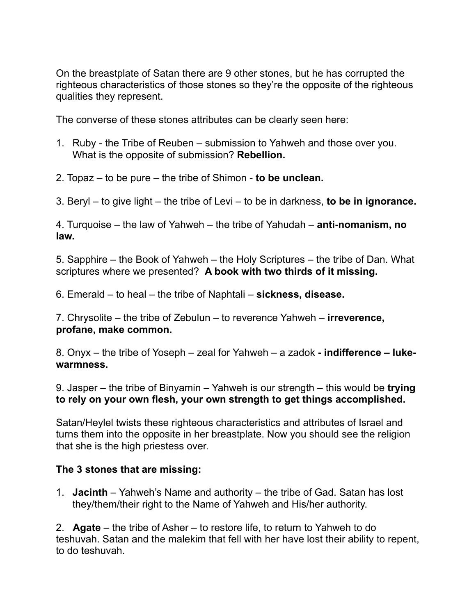On the breastplate of Satan there are 9 other stones, but he has corrupted the righteous characteristics of those stones so they're the opposite of the righteous qualities they represent.

The converse of these stones attributes can be clearly seen here:

- 1. Ruby the Tribe of Reuben submission to Yahweh and those over you. What is the opposite of submission? **Rebellion.**
- 2. Topaz to be pure the tribe of Shimon **to be unclean.**
- 3. Beryl to give light the tribe of Levi to be in darkness, **to be in ignorance.**

4. Turquoise – the law of Yahweh – the tribe of Yahudah – **anti-nomanism, no law.** 

5. Sapphire – the Book of Yahweh – the Holy Scriptures – the tribe of Dan. What scriptures where we presented? **A book with two thirds of it missing.** 

6. Emerald – to heal – the tribe of Naphtali – **sickness, disease.** 

7. Chrysolite – the tribe of Zebulun – to reverence Yahweh – **irreverence, profane, make common.** 

8. Onyx – the tribe of Yoseph – zeal for Yahweh – a zadok **- indifference – lukewarmness.**

9. Jasper – the tribe of Binyamin – Yahweh is our strength – this would be **trying to rely on your own flesh, your own strength to get things accomplished.** 

Satan/Heylel twists these righteous characteristics and attributes of Israel and turns them into the opposite in her breastplate. Now you should see the religion that she is the high priestess over.

# **The 3 stones that are missing:**

1. **Jacinth** – Yahweh's Name and authority – the tribe of Gad. Satan has lost they/them/their right to the Name of Yahweh and His/her authority.

2. **Agate** – the tribe of Asher – to restore life, to return to Yahweh to do teshuvah. Satan and the malekim that fell with her have lost their ability to repent, to do teshuvah.